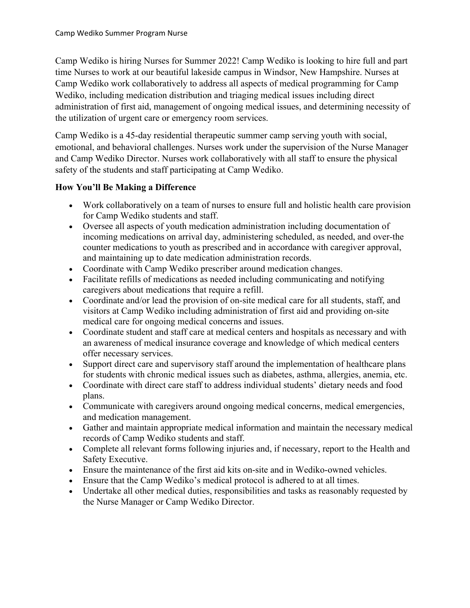Camp Wediko is hiring Nurses for Summer 2022! Camp Wediko is looking to hire full and part time Nurses to work at our beautiful lakeside campus in Windsor, New Hampshire. Nurses at Camp Wediko work collaboratively to address all aspects of medical programming for Camp Wediko, including medication distribution and triaging medical issues including direct administration of first aid, management of ongoing medical issues, and determining necessity of the utilization of urgent care or emergency room services.

Camp Wediko is a 45-day residential therapeutic summer camp serving youth with social, emotional, and behavioral challenges. Nurses work under the supervision of the Nurse Manager and Camp Wediko Director. Nurses work collaboratively with all staff to ensure the physical safety of the students and staff participating at Camp Wediko.

## **How You'll Be Making a Difference**

- Work collaboratively on a team of nurses to ensure full and holistic health care provision for Camp Wediko students and staff.
- Oversee all aspects of youth medication administration including documentation of incoming medications on arrival day, administering scheduled, as needed, and over-the counter medications to youth as prescribed and in accordance with caregiver approval, and maintaining up to date medication administration records.
- Coordinate with Camp Wediko prescriber around medication changes.
- Facilitate refills of medications as needed including communicating and notifying caregivers about medications that require a refill.
- Coordinate and/or lead the provision of on-site medical care for all students, staff, and visitors at Camp Wediko including administration of first aid and providing on-site medical care for ongoing medical concerns and issues.
- Coordinate student and staff care at medical centers and hospitals as necessary and with an awareness of medical insurance coverage and knowledge of which medical centers offer necessary services.
- Support direct care and supervisory staff around the implementation of healthcare plans for students with chronic medical issues such as diabetes, asthma, allergies, anemia, etc.
- Coordinate with direct care staff to address individual students' dietary needs and food plans.
- Communicate with caregivers around ongoing medical concerns, medical emergencies, and medication management.
- Gather and maintain appropriate medical information and maintain the necessary medical records of Camp Wediko students and staff.
- Complete all relevant forms following injuries and, if necessary, report to the Health and Safety Executive.
- Ensure the maintenance of the first aid kits on-site and in Wediko-owned vehicles.
- Ensure that the Camp Wediko's medical protocol is adhered to at all times.
- Undertake all other medical duties, responsibilities and tasks as reasonably requested by the Nurse Manager or Camp Wediko Director.